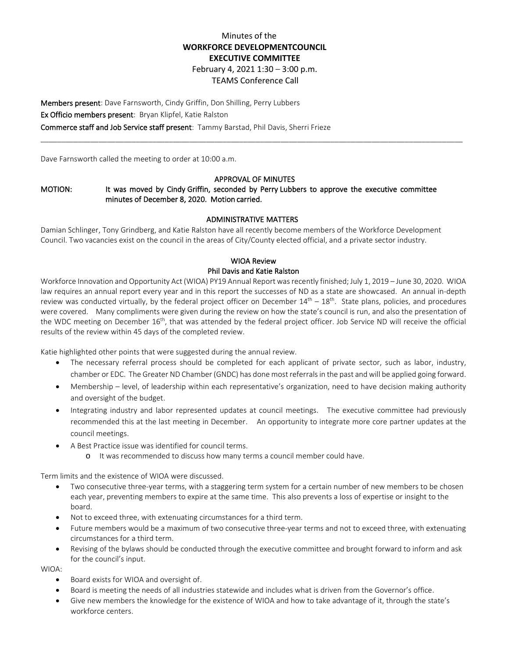# Minutes of the **WORKFORCE DEVELOPMENTCOUNCIL EXECUTIVE COMMITTEE** February 4, 2021 1:30 – 3:00 p.m.

### TEAMS Conference Call

Members present: Dave Farnsworth, Cindy Griffin, Don Shilling, Perry Lubbers Ex Officio members present: Bryan Klipfel, Katie Ralston Commerce staff and Job Service staff present: Tammy Barstad, Phil Davis, Sherri Frieze

Dave Farnsworth called the meeting to order at 10:00 a.m.

#### APPROVAL OF MINUTES

\_\_\_\_\_\_\_\_\_\_\_\_\_\_\_\_\_\_\_\_\_\_\_\_\_\_\_\_\_\_\_\_\_\_\_\_\_\_\_\_\_\_\_\_\_\_\_\_\_\_\_\_\_\_\_\_\_\_\_\_\_\_\_\_\_\_\_\_\_\_\_\_\_\_\_\_\_\_\_\_\_\_\_\_\_\_\_\_\_\_\_\_\_\_\_\_\_\_\_\_\_\_

## MOTION: It was moved by Cindy Griffin, seconded by Perry Lubbers to approve the executive committee minutes of December 8, 2020. Motion carried.

### ADMINISTRATIVE MATTERS

Damian Schlinger, Tony Grindberg, and Katie Ralston have all recently become members of the Workforce Development Council. Two vacancies exist on the council in the areas of City/County elected official, and a private sector industry.

# WIOA Review Phil Davis and Katie Ralston

Workforce Innovation and Opportunity Act (WIOA) PY19 Annual Report was recently finished; July 1, 2019 – June 30, 2020. WIOA law requires an annual report every year and in this report the successes of ND as a state are showcased. An annual in-depth review was conducted virtually, by the federal project officer on December  $14^{th} - 18^{th}$ . State plans, policies, and procedures were covered. Many compliments were given during the review on how the state's council is run, and also the presentation of the WDC meeting on December 16<sup>th</sup>, that was attended by the federal project officer. Job Service ND will receive the official results of the review within 45 days of the completed review.

Katie highlighted other points that were suggested during the annual review.

- The necessary referral process should be completed for each applicant of private sector, such as labor, industry, chamber or EDC. The Greater ND Chamber (GNDC) has done most referrals in the past and will be applied going forward.
- Membership level, of leadership within each representative's organization, need to have decision making authority and oversight of the budget.
- Integrating industry and labor represented updates at council meetings. The executive committee had previously recommended this at the last meeting in December. An opportunity to integrate more core partner updates at the council meetings.
- A Best Practice issue was identified for council terms.
	- o It was recommended to discuss how many terms a council member could have.

Term limits and the existence of WIOA were discussed.

- Two consecutive three-year terms, with a staggering term system for a certain number of new members to be chosen each year, preventing members to expire at the same time. This also prevents a loss of expertise or insight to the board.
- Not to exceed three, with extenuating circumstances for a third term.
- Future members would be a maximum of two consecutive three-year terms and not to exceed three, with extenuating circumstances for a third term.
- Revising of the bylaws should be conducted through the executive committee and brought forward to inform and ask for the council's input.

WIOA:

- Board exists for WIOA and oversight of.
- Board is meeting the needs of all industries statewide and includes what is driven from the Governor's office.
- Give new members the knowledge for the existence of WIOA and how to take advantage of it, through the state's workforce centers.